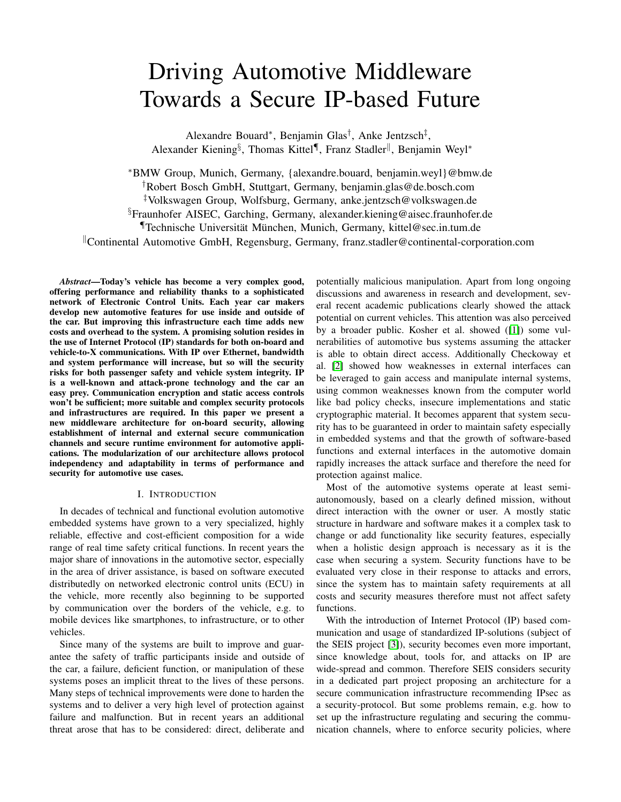# Driving Automotive Middleware Towards a Secure IP-based Future

Alexandre Bouard<sup>∗</sup>, Benjamin Glas<sup>†</sup>, Anke Jentzsch<sup>‡</sup>, Alexander Kiening<sup>§</sup>, Thomas Kittel¶, Franz Stadler<sup>||</sup>, Benjamin Weyl<sup>∗</sup>

<sup>∗</sup>BMW Group, Munich, Germany, {alexandre.bouard, benjamin.weyl}@bmw.de †Robert Bosch GmbH, Stuttgart, Germany, benjamin.glas@de.bosch.com ‡Volkswagen Group, Wolfsburg, Germany, anke.jentzsch@volkswagen.de §Fraunhofer AISEC, Garching, Germany, alexander.kiening@aisec.fraunhofer.de ¶Technische Universität München, Munich, Germany, kittel@sec.in.tum.de  $\mathbb{C}$ Continental Automotive GmbH, Regensburg, Germany, franz.stadler@continental-corporation.com

*Abstract*—Today's vehicle has become a very complex good, offering performance and reliability thanks to a sophisticated network of Electronic Control Units. Each year car makers develop new automotive features for use inside and outside of the car. But improving this infrastructure each time adds new costs and overhead to the system. A promising solution resides in the use of Internet Protocol (IP) standards for both on-board and vehicle-to-X communications. With IP over Ethernet, bandwidth and system performance will increase, but so will the security risks for both passenger safety and vehicle system integrity. IP is a well-known and attack-prone technology and the car an easy prey. Communication encryption and static access controls won't be sufficient; more suitable and complex security protocols and infrastructures are required. In this paper we present a new middleware architecture for on-board security, allowing establishment of internal and external secure communication channels and secure runtime environment for automotive applications. The modularization of our architecture allows protocol independency and adaptability in terms of performance and security for automotive use cases.

## I. INTRODUCTION

In decades of technical and functional evolution automotive embedded systems have grown to a very specialized, highly reliable, effective and cost-efficient composition for a wide range of real time safety critical functions. In recent years the major share of innovations in the automotive sector, especially in the area of driver assistance, is based on software executed distributedly on networked electronic control units (ECU) in the vehicle, more recently also beginning to be supported by communication over the borders of the vehicle, e.g. to mobile devices like smartphones, to infrastructure, or to other vehicles.

Since many of the systems are built to improve and guarantee the safety of traffic participants inside and outside of the car, a failure, deficient function, or manipulation of these systems poses an implicit threat to the lives of these persons. Many steps of technical improvements were done to harden the systems and to deliver a very high level of protection against failure and malfunction. But in recent years an additional threat arose that has to be considered: direct, deliberate and

potentially malicious manipulation. Apart from long ongoing discussions and awareness in research and development, several recent academic publications clearly showed the attack potential on current vehicles. This attention was also perceived by a broader public. Kosher et al. showed ([\[1\]](#page-7-0)) some vulnerabilities of automotive bus systems assuming the attacker is able to obtain direct access. Additionally Checkoway et al. [\[2\]](#page-7-1) showed how weaknesses in external interfaces can be leveraged to gain access and manipulate internal systems, using common weaknesses known from the computer world like bad policy checks, insecure implementations and static cryptographic material. It becomes apparent that system security has to be guaranteed in order to maintain safety especially in embedded systems and that the growth of software-based functions and external interfaces in the automotive domain rapidly increases the attack surface and therefore the need for protection against malice.

Most of the automotive systems operate at least semiautonomously, based on a clearly defined mission, without direct interaction with the owner or user. A mostly static structure in hardware and software makes it a complex task to change or add functionality like security features, especially when a holistic design approach is necessary as it is the case when securing a system. Security functions have to be evaluated very close in their response to attacks and errors, since the system has to maintain safety requirements at all costs and security measures therefore must not affect safety functions.

With the introduction of Internet Protocol (IP) based communication and usage of standardized IP-solutions (subject of the SEIS project [\[3\]](#page-7-2)), security becomes even more important, since knowledge about, tools for, and attacks on IP are wide-spread and common. Therefore SEIS considers security in a dedicated part project proposing an architecture for a secure communication infrastructure recommending IPsec as a security-protocol. But some problems remain, e.g. how to set up the infrastructure regulating and securing the communication channels, where to enforce security policies, where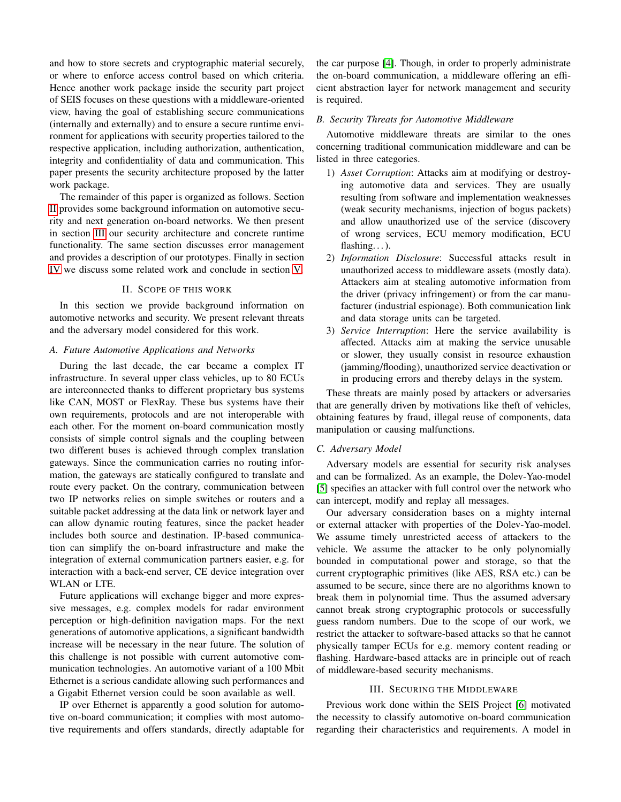and how to store secrets and cryptographic material securely, or where to enforce access control based on which criteria. Hence another work package inside the security part project of SEIS focuses on these questions with a middleware-oriented view, having the goal of establishing secure communications (internally and externally) and to ensure a secure runtime environment for applications with security properties tailored to the respective application, including authorization, authentication, integrity and confidentiality of data and communication. This paper presents the security architecture proposed by the latter work package.

The remainder of this paper is organized as follows. Section [II](#page-1-0) provides some background information on automotive security and next generation on-board networks. We then present in section [III](#page-1-1) our security architecture and concrete runtime functionality. The same section discusses error management and provides a description of our prototypes. Finally in section [IV](#page-7-3) we discuss some related work and conclude in section [V.](#page-7-4)

# II. SCOPE OF THIS WORK

<span id="page-1-0"></span>In this section we provide background information on automotive networks and security. We present relevant threats and the adversary model considered for this work.

## *A. Future Automotive Applications and Networks*

During the last decade, the car became a complex IT infrastructure. In several upper class vehicles, up to 80 ECUs are interconnected thanks to different proprietary bus systems like CAN, MOST or FlexRay. These bus systems have their own requirements, protocols and are not interoperable with each other. For the moment on-board communication mostly consists of simple control signals and the coupling between two different buses is achieved through complex translation gateways. Since the communication carries no routing information, the gateways are statically configured to translate and route every packet. On the contrary, communication between two IP networks relies on simple switches or routers and a suitable packet addressing at the data link or network layer and can allow dynamic routing features, since the packet header includes both source and destination. IP-based communication can simplify the on-board infrastructure and make the integration of external communication partners easier, e.g. for interaction with a back-end server, CE device integration over WLAN or LTE.

Future applications will exchange bigger and more expressive messages, e.g. complex models for radar environment perception or high-definition navigation maps. For the next generations of automotive applications, a significant bandwidth increase will be necessary in the near future. The solution of this challenge is not possible with current automotive communication technologies. An automotive variant of a 100 Mbit Ethernet is a serious candidate allowing such performances and a Gigabit Ethernet version could be soon available as well.

IP over Ethernet is apparently a good solution for automotive on-board communication; it complies with most automotive requirements and offers standards, directly adaptable for the car purpose [\[4\]](#page-7-5). Though, in order to properly administrate the on-board communication, a middleware offering an efficient abstraction layer for network management and security is required.

### *B. Security Threats for Automotive Middleware*

Automotive middleware threats are similar to the ones concerning traditional communication middleware and can be listed in three categories.

- 1) *Asset Corruption*: Attacks aim at modifying or destroying automotive data and services. They are usually resulting from software and implementation weaknesses (weak security mechanisms, injection of bogus packets) and allow unauthorized use of the service (discovery of wrong services, ECU memory modification, ECU flashing...).
- 2) *Information Disclosure*: Successful attacks result in unauthorized access to middleware assets (mostly data). Attackers aim at stealing automotive information from the driver (privacy infringement) or from the car manufacturer (industrial espionage). Both communication link and data storage units can be targeted.
- 3) *Service Interruption*: Here the service availability is affected. Attacks aim at making the service unusable or slower, they usually consist in resource exhaustion (jamming/flooding), unauthorized service deactivation or in producing errors and thereby delays in the system.

These threats are mainly posed by attackers or adversaries that are generally driven by motivations like theft of vehicles, obtaining features by fraud, illegal reuse of components, data manipulation or causing malfunctions.

## *C. Adversary Model*

Adversary models are essential for security risk analyses and can be formalized. As an example, the Dolev-Yao-model [\[5\]](#page-7-6) specifies an attacker with full control over the network who can intercept, modify and replay all messages.

Our adversary consideration bases on a mighty internal or external attacker with properties of the Dolev-Yao-model. We assume timely unrestricted access of attackers to the vehicle. We assume the attacker to be only polynomially bounded in computational power and storage, so that the current cryptographic primitives (like AES, RSA etc.) can be assumed to be secure, since there are no algorithms known to break them in polynomial time. Thus the assumed adversary cannot break strong cryptographic protocols or successfully guess random numbers. Due to the scope of our work, we restrict the attacker to software-based attacks so that he cannot physically tamper ECUs for e.g. memory content reading or flashing. Hardware-based attacks are in principle out of reach of middleware-based security mechanisms.

## III. SECURING THE MIDDLEWARE

<span id="page-1-1"></span>Previous work done within the SEIS Project [\[6\]](#page-7-7) motivated the necessity to classify automotive on-board communication regarding their characteristics and requirements. A model in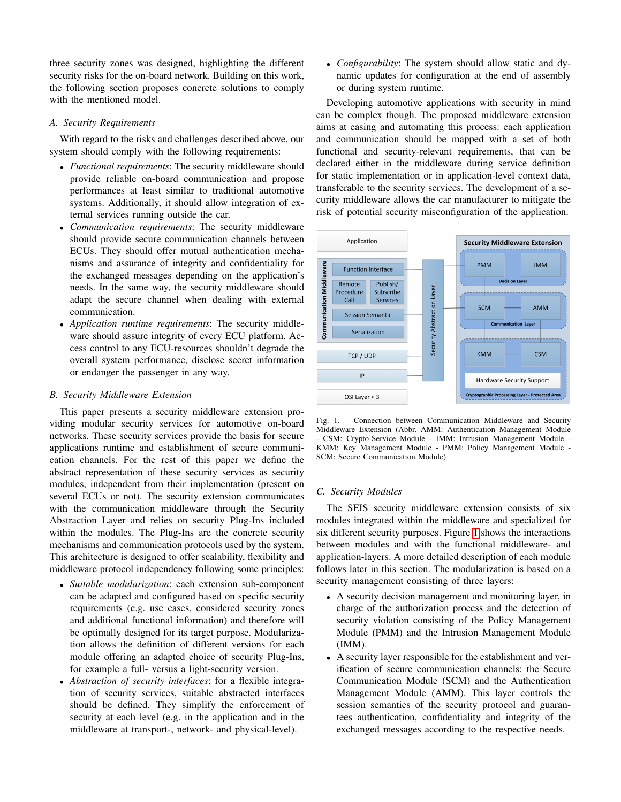three security zones was designed, highlighting the different security risks for the on-board network. Building on this work, the following section proposes concrete solutions to comply with the mentioned model.

# *A. Security Requirements*

With regard to the risks and challenges described above, our system should comply with the following requirements:

- *Functional requirements*: The security middleware should provide reliable on-board communication and propose performances at least similar to traditional automotive systems. Additionally, it should allow integration of external services running outside the car.
- *Communication requirements*: The security middleware should provide secure communication channels between ECUs. They should offer mutual authentication mechanisms and assurance of integrity and confidentiality for the exchanged messages depending on the application's needs. In the same way, the security middleware should adapt the secure channel when dealing with external communication.
- *Application runtime requirements*: The security middleware should assure integrity of every ECU platform. Access control to any ECU-resources shouldn't degrade the overall system performance, disclose secret information or endanger the passenger in any way.

# *B. Security Middleware Extension*

This paper presents a security middleware extension providing modular security services for automotive on-board networks. These security services provide the basis for secure applications runtime and establishment of secure communication channels. For the rest of this paper we define the abstract representation of these security services as security modules, independent from their implementation (present on several ECUs or not). The security extension communicates with the communication middleware through the Security Abstraction Layer and relies on security Plug-Ins included within the modules. The Plug-Ins are the concrete security mechanisms and communication protocols used by the system. This architecture is designed to offer scalability, flexibility and middleware protocol independency following some principles:

- *Suitable modularization*: each extension sub-component can be adapted and configured based on specific security requirements (e.g. use cases, considered security zones and additional functional information) and therefore will be optimally designed for its target purpose. Modularization allows the definition of different versions for each module offering an adapted choice of security Plug-Ins, for example a full- versus a light-security version.
- *Abstraction of security interfaces*: for a flexible integration of security services, suitable abstracted interfaces should be defined. They simplify the enforcement of security at each level (e.g. in the application and in the middleware at transport-, network- and physical-level).

• *Configurability*: The system should allow static and dynamic updates for configuration at the end of assembly or during system runtime.

Developing automotive applications with security in mind can be complex though. The proposed middleware extension aims at easing and automating this process: each application and communication should be mapped with a set of both functional and security-relevant requirements, that can be declared either in the middleware during service definition for static implementation or in application-level context data, transferable to the security services. The development of a security middleware allows the car manufacturer to mitigate the risk of potential security misconfiguration of the application.



<span id="page-2-0"></span>

## *C. Security Modules*

The SEIS security middleware extension consists of six modules integrated within the middleware and specialized for six different security purposes. Figure [1](#page-2-0) shows the interactions between modules and with the functional middleware- and application-layers. A more detailed description of each module follows later in this section. The modularization is based on a security management consisting of three layers:

- A security decision management and monitoring layer, in charge of the authorization process and the detection of security violation consisting of the Policy Management Module (PMM) and the Intrusion Management Module (IMM).
- A security layer responsible for the establishment and verification of secure communication channels: the Secure Communication Module (SCM) and the Authentication Management Module (AMM). This layer controls the session semantics of the security protocol and guarantees authentication, confidentiality and integrity of the exchanged messages according to the respective needs.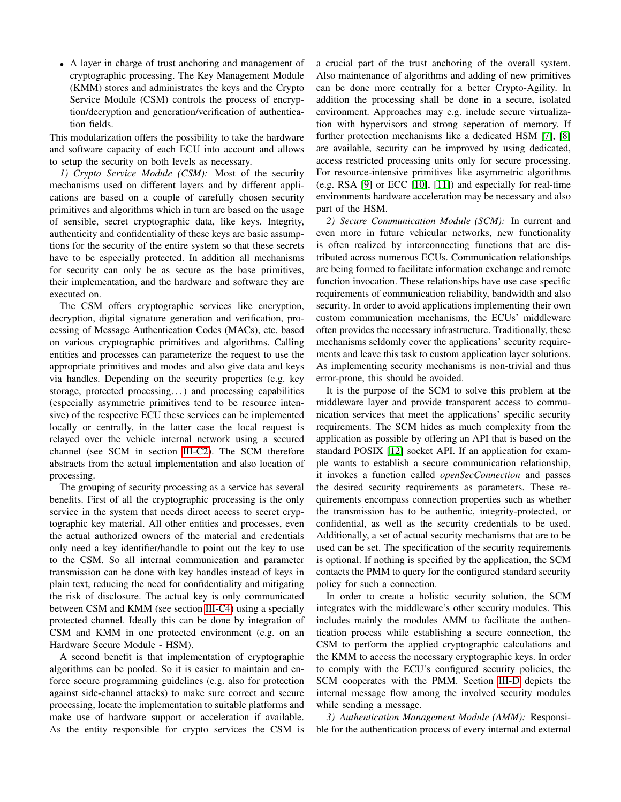• A layer in charge of trust anchoring and management of cryptographic processing. The Key Management Module (KMM) stores and administrates the keys and the Crypto Service Module (CSM) controls the process of encryption/decryption and generation/verification of authentication fields.

This modularization offers the possibility to take the hardware and software capacity of each ECU into account and allows to setup the security on both levels as necessary.

*1) Crypto Service Module (CSM):* Most of the security mechanisms used on different layers and by different applications are based on a couple of carefully chosen security primitives and algorithms which in turn are based on the usage of sensible, secret cryptographic data, like keys. Integrity, authenticity and confidentiality of these keys are basic assumptions for the security of the entire system so that these secrets have to be especially protected. In addition all mechanisms for security can only be as secure as the base primitives, their implementation, and the hardware and software they are executed on.

The CSM offers cryptographic services like encryption, decryption, digital signature generation and verification, processing of Message Authentication Codes (MACs), etc. based on various cryptographic primitives and algorithms. Calling entities and processes can parameterize the request to use the appropriate primitives and modes and also give data and keys via handles. Depending on the security properties (e.g. key storage, protected processing. . . ) and processing capabilities (especially asymmetric primitives tend to be resource intensive) of the respective ECU these services can be implemented locally or centrally, in the latter case the local request is relayed over the vehicle internal network using a secured channel (see SCM in section [III-C2\)](#page-3-0). The SCM therefore abstracts from the actual implementation and also location of processing.

The grouping of security processing as a service has several benefits. First of all the cryptographic processing is the only service in the system that needs direct access to secret cryptographic key material. All other entities and processes, even the actual authorized owners of the material and credentials only need a key identifier/handle to point out the key to use to the CSM. So all internal communication and parameter transmission can be done with key handles instead of keys in plain text, reducing the need for confidentiality and mitigating the risk of disclosure. The actual key is only communicated between CSM and KMM (see section [III-C4\)](#page-4-0) using a specially protected channel. Ideally this can be done by integration of CSM and KMM in one protected environment (e.g. on an Hardware Secure Module - HSM).

A second benefit is that implementation of cryptographic algorithms can be pooled. So it is easier to maintain and enforce secure programming guidelines (e.g. also for protection against side-channel attacks) to make sure correct and secure processing, locate the implementation to suitable platforms and make use of hardware support or acceleration if available. As the entity responsible for crypto services the CSM is a crucial part of the trust anchoring of the overall system. Also maintenance of algorithms and adding of new primitives can be done more centrally for a better Crypto-Agility. In addition the processing shall be done in a secure, isolated environment. Approaches may e.g. include secure virtualization with hypervisors and strong seperation of memory. If further protection mechanisms like a dedicated HSM [\[7\]](#page-7-8), [\[8\]](#page-7-9) are available, security can be improved by using dedicated, access restricted processing units only for secure processing. For resource-intensive primitives like asymmetric algorithms (e.g. RSA [\[9\]](#page-7-10) or ECC [\[10\]](#page-7-11), [\[11\]](#page-7-12)) and especially for real-time environments hardware acceleration may be necessary and also part of the HSM.

<span id="page-3-0"></span>*2) Secure Communication Module (SCM):* In current and even more in future vehicular networks, new functionality is often realized by interconnecting functions that are distributed across numerous ECUs. Communication relationships are being formed to facilitate information exchange and remote function invocation. These relationships have use case specific requirements of communication reliability, bandwidth and also security. In order to avoid applications implementing their own custom communication mechanisms, the ECUs' middleware often provides the necessary infrastructure. Traditionally, these mechanisms seldomly cover the applications' security requirements and leave this task to custom application layer solutions. As implementing security mechanisms is non-trivial and thus error-prone, this should be avoided.

It is the purpose of the SCM to solve this problem at the middleware layer and provide transparent access to communication services that meet the applications' specific security requirements. The SCM hides as much complexity from the application as possible by offering an API that is based on the standard POSIX [\[12\]](#page-7-13) socket API. If an application for example wants to establish a secure communication relationship, it invokes a function called *openSecConnection* and passes the desired security requirements as parameters. These requirements encompass connection properties such as whether the transmission has to be authentic, integrity-protected, or confidential, as well as the security credentials to be used. Additionally, a set of actual security mechanisms that are to be used can be set. The specification of the security requirements is optional. If nothing is specified by the application, the SCM contacts the PMM to query for the configured standard security policy for such a connection.

In order to create a holistic security solution, the SCM integrates with the middleware's other security modules. This includes mainly the modules AMM to facilitate the authentication process while establishing a secure connection, the CSM to perform the applied cryptographic calculations and the KMM to access the necessary cryptographic keys. In order to comply with the ECU's configured security policies, the SCM cooperates with the PMM. Section [III-D](#page-5-0) depicts the internal message flow among the involved security modules while sending a message.

*3) Authentication Management Module (AMM):* Responsible for the authentication process of every internal and external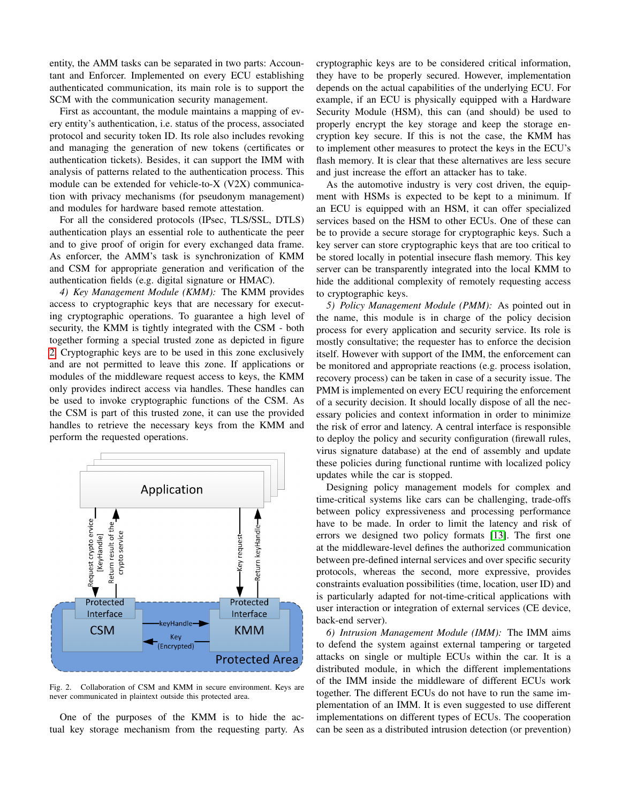entity, the AMM tasks can be separated in two parts: Accountant and Enforcer. Implemented on every ECU establishing authenticated communication, its main role is to support the SCM with the communication security management.

First as accountant, the module maintains a mapping of every entity's authentication, i.e. status of the process, associated protocol and security token ID. Its role also includes revoking and managing the generation of new tokens (certificates or authentication tickets). Besides, it can support the IMM with analysis of patterns related to the authentication process. This module can be extended for vehicle-to-X (V2X) communication with privacy mechanisms (for pseudonym management) and modules for hardware based remote attestation.

For all the considered protocols (IPsec, TLS/SSL, DTLS) authentication plays an essential role to authenticate the peer and to give proof of origin for every exchanged data frame. As enforcer, the AMM's task is synchronization of KMM and CSM for appropriate generation and verification of the authentication fields (e.g. digital signature or HMAC).

<span id="page-4-0"></span>*4) Key Management Module (KMM):* The KMM provides access to cryptographic keys that are necessary for executing cryptographic operations. To guarantee a high level of security, the KMM is tightly integrated with the CSM - both together forming a special trusted zone as depicted in figure [2.](#page-4-1) Cryptographic keys are to be used in this zone exclusively and are not permitted to leave this zone. If applications or modules of the middleware request access to keys, the KMM only provides indirect access via handles. These handles can be used to invoke cryptographic functions of the CSM. As the CSM is part of this trusted zone, it can use the provided handles to retrieve the necessary keys from the KMM and perform the requested operations.



<span id="page-4-1"></span>Fig. 2. Collaboration of CSM and KMM in secure environment. Keys are never communicated in plaintext outside this protected area.

One of the purposes of the KMM is to hide the actual key storage mechanism from the requesting party. As cryptographic keys are to be considered critical information, they have to be properly secured. However, implementation depends on the actual capabilities of the underlying ECU. For example, if an ECU is physically equipped with a Hardware Security Module (HSM), this can (and should) be used to properly encrypt the key storage and keep the storage encryption key secure. If this is not the case, the KMM has to implement other measures to protect the keys in the ECU's flash memory. It is clear that these alternatives are less secure and just increase the effort an attacker has to take.

As the automotive industry is very cost driven, the equipment with HSMs is expected to be kept to a minimum. If an ECU is equipped with an HSM, it can offer specialized services based on the HSM to other ECUs. One of these can be to provide a secure storage for cryptographic keys. Such a key server can store cryptographic keys that are too critical to be stored locally in potential insecure flash memory. This key server can be transparently integrated into the local KMM to hide the additional complexity of remotely requesting access to cryptographic keys.

*5) Policy Management Module (PMM):* As pointed out in the name, this module is in charge of the policy decision process for every application and security service. Its role is mostly consultative; the requester has to enforce the decision itself. However with support of the IMM, the enforcement can be monitored and appropriate reactions (e.g. process isolation, recovery process) can be taken in case of a security issue. The PMM is implemented on every ECU requiring the enforcement of a security decision. It should locally dispose of all the necessary policies and context information in order to minimize the risk of error and latency. A central interface is responsible to deploy the policy and security configuration (firewall rules, virus signature database) at the end of assembly and update these policies during functional runtime with localized policy updates while the car is stopped.

Designing policy management models for complex and time-critical systems like cars can be challenging, trade-offs between policy expressiveness and processing performance have to be made. In order to limit the latency and risk of errors we designed two policy formats [\[13\]](#page-8-0). The first one at the middleware-level defines the authorized communication between pre-defined internal services and over specific security protocols, whereas the second, more expressive, provides constraints evaluation possibilities (time, location, user ID) and is particularly adapted for not-time-critical applications with user interaction or integration of external services (CE device, back-end server).

*6) Intrusion Management Module (IMM):* The IMM aims to defend the system against external tampering or targeted attacks on single or multiple ECUs within the car. It is a distributed module, in which the different implementations of the IMM inside the middleware of different ECUs work together. The different ECUs do not have to run the same implementation of an IMM. It is even suggested to use different implementations on different types of ECUs. The cooperation can be seen as a distributed intrusion detection (or prevention)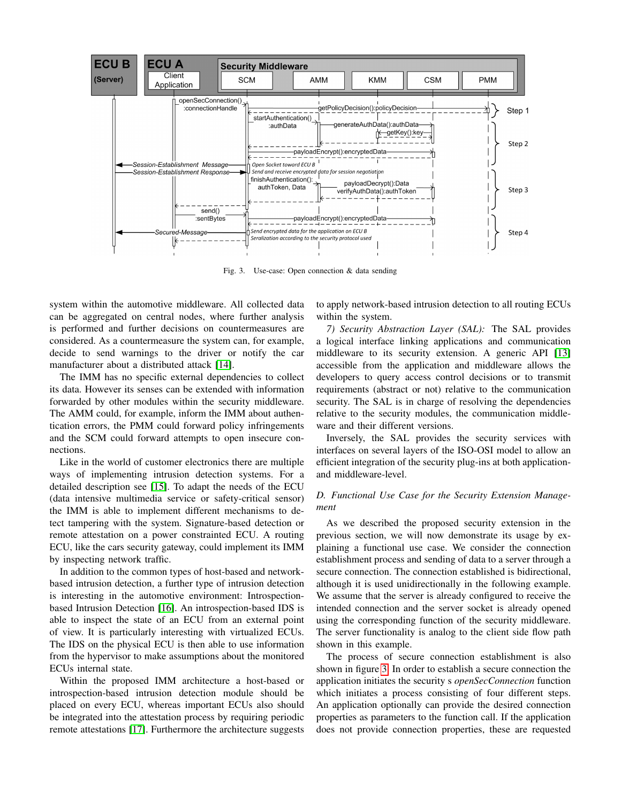

<span id="page-5-1"></span>Fig. 3. Use-case: Open connection & data sending

system within the automotive middleware. All collected data can be aggregated on central nodes, where further analysis is performed and further decisions on countermeasures are considered. As a countermeasure the system can, for example, decide to send warnings to the driver or notify the car manufacturer about a distributed attack [\[14\]](#page-8-1).

The IMM has no specific external dependencies to collect its data. However its senses can be extended with information forwarded by other modules within the security middleware. The AMM could, for example, inform the IMM about authentication errors, the PMM could forward policy infringements and the SCM could forward attempts to open insecure connections.

Like in the world of customer electronics there are multiple ways of implementing intrusion detection systems. For a detailed description see [\[15\]](#page-8-2). To adapt the needs of the ECU (data intensive multimedia service or safety-critical sensor) the IMM is able to implement different mechanisms to detect tampering with the system. Signature-based detection or remote attestation on a power constrainted ECU. A routing ECU, like the cars security gateway, could implement its IMM by inspecting network traffic.

In addition to the common types of host-based and networkbased intrusion detection, a further type of intrusion detection is interesting in the automotive environment: Introspectionbased Intrusion Detection [\[16\]](#page-8-3). An introspection-based IDS is able to inspect the state of an ECU from an external point of view. It is particularly interesting with virtualized ECUs. The IDS on the physical ECU is then able to use information from the hypervisor to make assumptions about the monitored ECUs internal state.

Within the proposed IMM architecture a host-based or introspection-based intrusion detection module should be placed on every ECU, whereas important ECUs also should be integrated into the attestation process by requiring periodic remote attestations [\[17\]](#page-8-4). Furthermore the architecture suggests

to apply network-based intrusion detection to all routing ECUs within the system.

*7) Security Abstraction Layer (SAL):* The SAL provides a logical interface linking applications and communication middleware to its security extension. A generic API [\[13\]](#page-8-0) accessible from the application and middleware allows the developers to query access control decisions or to transmit requirements (abstract or not) relative to the communication security. The SAL is in charge of resolving the dependencies relative to the security modules, the communication middleware and their different versions.

Inversely, the SAL provides the security services with interfaces on several layers of the ISO-OSI model to allow an efficient integration of the security plug-ins at both applicationand middleware-level.

# <span id="page-5-0"></span>*D. Functional Use Case for the Security Extension Management*

As we described the proposed security extension in the previous section, we will now demonstrate its usage by explaining a functional use case. We consider the connection establishment process and sending of data to a server through a secure connection. The connection established is bidirectional, although it is used unidirectionally in the following example. We assume that the server is already configured to receive the intended connection and the server socket is already opened using the corresponding function of the security middleware. The server functionality is analog to the client side flow path shown in this example.

The process of secure connection establishment is also shown in figure [3.](#page-5-1) In order to establish a secure connection the application initiates the security s *openSecConnection* function which initiates a process consisting of four different steps. An application optionally can provide the desired connection properties as parameters to the function call. If the application does not provide connection properties, these are requested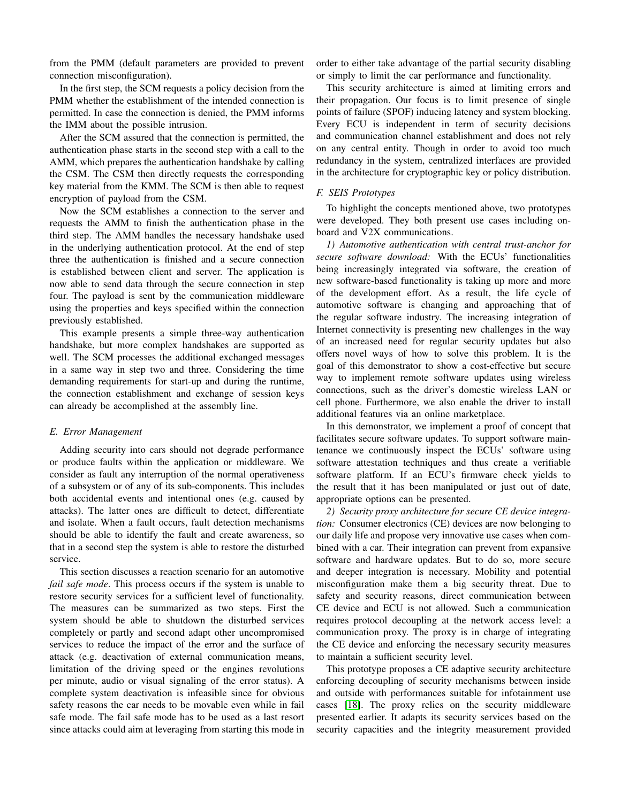from the PMM (default parameters are provided to prevent connection misconfiguration).

In the first step, the SCM requests a policy decision from the PMM whether the establishment of the intended connection is permitted. In case the connection is denied, the PMM informs the IMM about the possible intrusion.

After the SCM assured that the connection is permitted, the authentication phase starts in the second step with a call to the AMM, which prepares the authentication handshake by calling the CSM. The CSM then directly requests the corresponding key material from the KMM. The SCM is then able to request encryption of payload from the CSM.

Now the SCM establishes a connection to the server and requests the AMM to finish the authentication phase in the third step. The AMM handles the necessary handshake used in the underlying authentication protocol. At the end of step three the authentication is finished and a secure connection is established between client and server. The application is now able to send data through the secure connection in step four. The payload is sent by the communication middleware using the properties and keys specified within the connection previously established.

This example presents a simple three-way authentication handshake, but more complex handshakes are supported as well. The SCM processes the additional exchanged messages in a same way in step two and three. Considering the time demanding requirements for start-up and during the runtime, the connection establishment and exchange of session keys can already be accomplished at the assembly line.

#### *E. Error Management*

Adding security into cars should not degrade performance or produce faults within the application or middleware. We consider as fault any interruption of the normal operativeness of a subsystem or of any of its sub-components. This includes both accidental events and intentional ones (e.g. caused by attacks). The latter ones are difficult to detect, differentiate and isolate. When a fault occurs, fault detection mechanisms should be able to identify the fault and create awareness, so that in a second step the system is able to restore the disturbed service.

This section discusses a reaction scenario for an automotive *fail safe mode*. This process occurs if the system is unable to restore security services for a sufficient level of functionality. The measures can be summarized as two steps. First the system should be able to shutdown the disturbed services completely or partly and second adapt other uncompromised services to reduce the impact of the error and the surface of attack (e.g. deactivation of external communication means, limitation of the driving speed or the engines revolutions per minute, audio or visual signaling of the error status). A complete system deactivation is infeasible since for obvious safety reasons the car needs to be movable even while in fail safe mode. The fail safe mode has to be used as a last resort since attacks could aim at leveraging from starting this mode in

order to either take advantage of the partial security disabling or simply to limit the car performance and functionality.

This security architecture is aimed at limiting errors and their propagation. Our focus is to limit presence of single points of failure (SPOF) inducing latency and system blocking. Every ECU is independent in term of security decisions and communication channel establishment and does not rely on any central entity. Though in order to avoid too much redundancy in the system, centralized interfaces are provided in the architecture for cryptographic key or policy distribution.

## *F. SEIS Prototypes*

To highlight the concepts mentioned above, two prototypes were developed. They both present use cases including onboard and V2X communications.

*1) Automotive authentication with central trust-anchor for secure software download:* With the ECUs' functionalities being increasingly integrated via software, the creation of new software-based functionality is taking up more and more of the development effort. As a result, the life cycle of automotive software is changing and approaching that of the regular software industry. The increasing integration of Internet connectivity is presenting new challenges in the way of an increased need for regular security updates but also offers novel ways of how to solve this problem. It is the goal of this demonstrator to show a cost-effective but secure way to implement remote software updates using wireless connections, such as the driver's domestic wireless LAN or cell phone. Furthermore, we also enable the driver to install additional features via an online marketplace.

In this demonstrator, we implement a proof of concept that facilitates secure software updates. To support software maintenance we continuously inspect the ECUs' software using software attestation techniques and thus create a verifiable software platform. If an ECU's firmware check yields to the result that it has been manipulated or just out of date, appropriate options can be presented.

*2) Security proxy architecture for secure CE device integration:* Consumer electronics (CE) devices are now belonging to our daily life and propose very innovative use cases when combined with a car. Their integration can prevent from expansive software and hardware updates. But to do so, more secure and deeper integration is necessary. Mobility and potential misconfiguration make them a big security threat. Due to safety and security reasons, direct communication between CE device and ECU is not allowed. Such a communication requires protocol decoupling at the network access level: a communication proxy. The proxy is in charge of integrating the CE device and enforcing the necessary security measures to maintain a sufficient security level.

This prototype proposes a CE adaptive security architecture enforcing decoupling of security mechanisms between inside and outside with performances suitable for infotainment use cases [\[18\]](#page-8-5). The proxy relies on the security middleware presented earlier. It adapts its security services based on the security capacities and the integrity measurement provided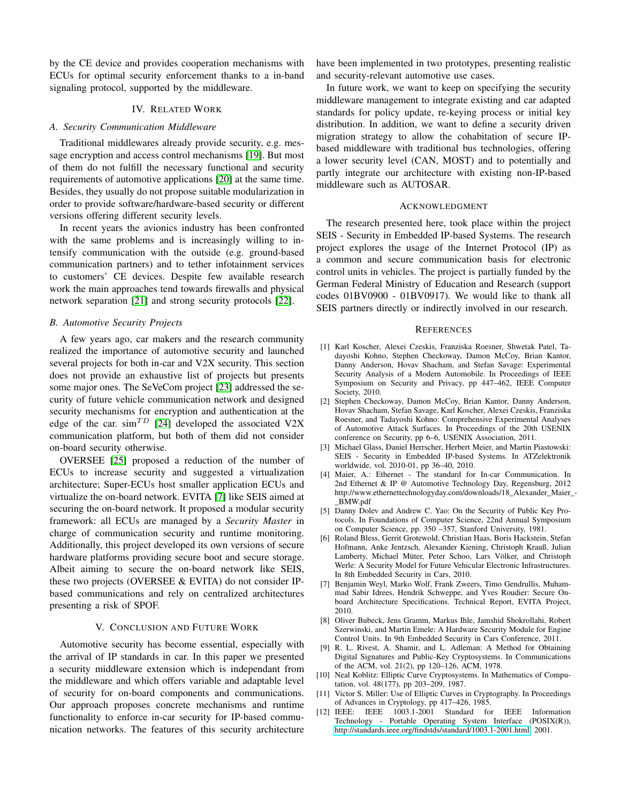by the CE device and provides cooperation mechanisms with ECUs for optimal security enforcement thanks to a in-band signaling protocol, supported by the middleware.

### IV. RELATED WORK

# <span id="page-7-3"></span>*A. Security Communication Middleware*

Traditional middlewares already provide security, e.g. message encryption and access control mechanisms [\[19\]](#page-8-6). But most of them do not fulfill the necessary functional and security requirements of automotive applications [\[20\]](#page-8-7) at the same time. Besides, they usually do not propose suitable modularization in order to provide software/hardware-based security or different versions offering different security levels.

In recent years the avionics industry has been confronted with the same problems and is increasingly willing to intensify communication with the outside (e.g. ground-based communication partners) and to tether infotainment services to customers' CE devices. Despite few available research work the main approaches tend towards firewalls and physical network separation [\[21\]](#page-8-8) and strong security protocols [\[22\]](#page-8-9).

#### *B. Automotive Security Projects*

A few years ago, car makers and the research community realized the importance of automotive security and launched several projects for both in-car and V2X security. This section does not provide an exhaustive list of projects but presents some major ones. The SeVeCom project [\[23\]](#page-8-10) addressed the security of future vehicle communication network and designed security mechanisms for encryption and authentication at the edge of the car.  $\sin^{TD}$  [\[24\]](#page-8-11) developed the associated V2X communication platform, but both of them did not consider on-board security otherwise.

OVERSEE [\[25\]](#page-8-12) proposed a reduction of the number of ECUs to increase security and suggested a virtualization architecture; Super-ECUs host smaller application ECUs and virtualize the on-board network. EVITA [\[7\]](#page-7-8) like SEIS aimed at securing the on-board network. It proposed a modular security framework: all ECUs are managed by a *Security Master* in charge of communication security and runtime monitoring. Additionally, this project developed its own versions of secure hardware platforms providing secure boot and secure storage. Albeit aiming to secure the on-board network like SEIS, these two projects (OVERSEE & EVITA) do not consider IPbased communications and rely on centralized architectures presenting a risk of SPOF.

## V. CONCLUSION AND FUTURE WORK

<span id="page-7-4"></span>Automotive security has become essential, especially with the arrival of IP standards in car. In this paper we presented a security middleware extension which is independant from the middleware and which offers variable and adaptable level of security for on-board components and communications. Our approach proposes concrete mechanisms and runtime functionality to enforce in-car security for IP-based communication networks. The features of this security architecture have been implemented in two prototypes, presenting realistic and security-relevant automotive use cases.

In future work, we want to keep on specifying the security middleware management to integrate existing and car adapted standards for policy update, re-keying process or initial key distribution. In addition, we want to define a security driven migration strategy to allow the cohabitation of secure IPbased middleware with traditional bus technologies, offering a lower security level (CAN, MOST) and to potentially and partly integrate our architecture with existing non-IP-based middleware such as AUTOSAR.

## ACKNOWLEDGMENT

The research presented here, took place within the project SEIS - Security in Embedded IP-based Systems. The research project explores the usage of the Internet Protocol (IP) as a common and secure communication basis for electronic control units in vehicles. The project is partially funded by the German Federal Ministry of Education and Research (support codes 01BV0900 - 01BV0917). We would like to thank all SEIS partners directly or indirectly involved in our research.

## **REFERENCES**

- <span id="page-7-0"></span>[1] Karl Koscher, Alexei Czeskis, Franziska Roesner, Shwetak Patel, Tadayoshi Kohno, Stephen Checkoway, Damon McCoy, Brian Kantor, Danny Anderson, Hovav Shacham, and Stefan Savage: Experimental Security Analysis of a Modern Automobile. In Proceedings of IEEE Symposium on Security and Privacy, pp 447–462, IEEE Computer Society, 2010.
- <span id="page-7-1"></span>[2] Stephen Checkoway, Damon McCoy, Brian Kantor, Danny Anderson, Hovav Shacham, Stefan Savage, Karl Koscher, Alexei Czeskis, Franziska Roesner, and Tadayoshi Kohno: Comprehensive Experimental Analyses of Automotive Attack Surfaces. In Proceedings of the 20th USENIX conference on Security, pp 6–6, USENIX Association, 2011.
- <span id="page-7-2"></span>[3] Michael Glass, Daniel Herrscher, Herbert Meier, and Martin Piastowski: SEIS - Security in Embedded IP-based Systems. In ATZelektronik worldwide, vol. 2010-01, pp 36–40, 2010.
- <span id="page-7-5"></span>[4] Maier, A.: Ethernet - The standard for In-car Communication. In 2nd Ethernet & IP @ Automotive Technology Day, Regensburg, 2012 http://www.ethernettechnologyday.com/downloads/18\_Alexander\_Maier\_- \_BMW.pdf
- <span id="page-7-6"></span>[5] Danny Dolev and Andrew C. Yao: On the Security of Public Key Protocols. In Foundations of Computer Science, 22nd Annual Symposium on Computer Science, pp. 350 –357, Stanford University, 1981.
- <span id="page-7-7"></span>[6] Roland Bless, Gerrit Grotewold, Christian Haas, Boris Hackstein, Stefan Hofmann, Anke Jentzsch, Alexander Kiening, Christoph Krauß, Julian Lamberty, Michael Müter, Peter Schoo, Lars Völker, and Christoph Werle: A Security Model for Future Vehicular Electronic Infrastructures. In 8th Embedded Security in Cars, 2010.
- <span id="page-7-8"></span>[7] Benjamin Weyl, Marko Wolf, Frank Zweers, Timo Gendrullis, Muhammad Sabir Idrees, Hendrik Schweppe, and Yves Roudier: Secure Onboard Architecture Specifications. Technical Report, EVITA Project, 2010.
- <span id="page-7-9"></span>[8] Oliver Bubeck, Jens Gramm, Markus Ihle, Jamshid Shokrollahi, Robert Szerwinski, and Martin Emele: A Hardware Security Module for Engine Control Units. In 9th Embedded Security in Cars Conference, 2011.
- <span id="page-7-10"></span>[9] R. L. Rivest, A. Shamir, and L. Adleman: A Method for Obtaining Digital Signatures and Public-Key Cryptosystems. In Communications of the ACM, vol. 21(2), pp 120–126, ACM, 1978.
- <span id="page-7-11"></span>[10] Neal Koblitz: Elliptic Curve Cryptosystems. In Mathematics of Computation, vol. 48(177), pp 203–209, 1987.
- <span id="page-7-12"></span>[11] Victor S. Miller: Use of Elliptic Curves in Cryptography. In Proceedings of Advances in Cryptology, pp 417–426, 1985.
- <span id="page-7-13"></span>[12] IEEE: IEEE 1003.1-2001 Standard for IEEE Information Technology - Portable Operating System Interface (POSIX(R)), [http://standards.ieee.org/findstds/standard/1003.1-2001.html,](http://standards.ieee.org/findstds/standard/1003.1-2001.html) 2001.